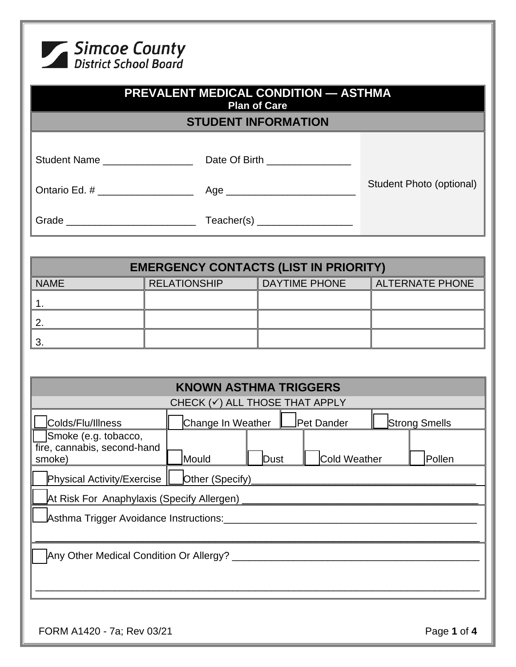

| <b>PREVALENT MEDICAL CONDITION — ASTHMA</b><br><b>Plan of Care</b> |                                 |                          |  |
|--------------------------------------------------------------------|---------------------------------|--------------------------|--|
|                                                                    | <b>STUDENT INFORMATION</b>      |                          |  |
|                                                                    |                                 |                          |  |
| Student Name                                                       | Date Of Birth _________________ |                          |  |
| Ontario Ed. # ___________________                                  | Age                             | Student Photo (optional) |  |
|                                                                    | Teacher(s) ____________________ |                          |  |

| <b>EMERGENCY CONTACTS (LIST IN PRIORITY)</b> |                     |                      |                        |  |
|----------------------------------------------|---------------------|----------------------|------------------------|--|
| <b>NAME</b>                                  | <b>RELATIONSHIP</b> | <b>DAYTIME PHONE</b> | <b>ALTERNATE PHONE</b> |  |
|                                              |                     |                      |                        |  |
|                                              |                     |                      |                        |  |
|                                              |                     |                      |                        |  |

| <b>KNOWN ASTHMA TRIGGERS</b>                                  |                   |      |  |              |                      |
|---------------------------------------------------------------|-------------------|------|--|--------------|----------------------|
| CHECK (v) ALL THOSE THAT APPLY                                |                   |      |  |              |                      |
| Colds/Flu/Illness                                             | Change In Weather |      |  | Pet Dander   | <b>Strong Smells</b> |
| Smoke (e.g. tobacco,<br>fire, cannabis, second-hand<br>smoke) | Mould             | Dust |  | Cold Weather | Pollen               |
| <b>Physical Activity/Exercise</b><br>Other (Specify)          |                   |      |  |              |                      |
| At Risk For Anaphylaxis (Specify Allergen) _                  |                   |      |  |              |                      |
| Asthma Trigger Avoidance Instructions:                        |                   |      |  |              |                      |
| Any Other Medical Condition Or Allergy? ___                   |                   |      |  |              |                      |
|                                                               |                   |      |  |              |                      |
| FORM A1420 - 7a; Rev 03/21                                    |                   |      |  |              | Page 1 of 4          |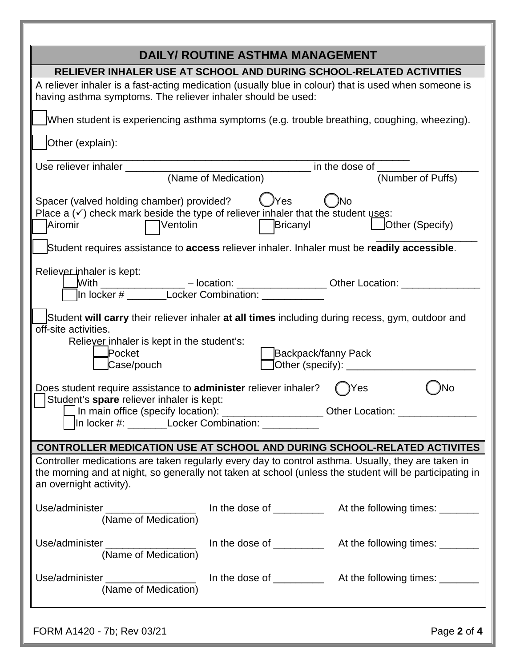| <b>DAILY/ ROUTINE ASTHMA MANAGEMENT</b>                                                                                                                                                                                                                                            |  |
|------------------------------------------------------------------------------------------------------------------------------------------------------------------------------------------------------------------------------------------------------------------------------------|--|
| RELIEVER INHALER USE AT SCHOOL AND DURING SCHOOL-RELATED ACTIVITIES                                                                                                                                                                                                                |  |
| A reliever inhaler is a fast-acting medication (usually blue in colour) that is used when someone is<br>having asthma symptoms. The reliever inhaler should be used:                                                                                                               |  |
| When student is experiencing asthma symptoms (e.g. trouble breathing, coughing, wheezing).                                                                                                                                                                                         |  |
| Other (explain):                                                                                                                                                                                                                                                                   |  |
| Use reliever inhaler _______<br>in the dose of window and the state of the state of the state of the state of the state of the state of the state of the state of the state of the state of the state of the state of the state of the state of the state of t                     |  |
| (Number of Puffs)<br>(Name of Medication)                                                                                                                                                                                                                                          |  |
| Spacer (valved holding chamber) provided?<br>)Yes<br>No                                                                                                                                                                                                                            |  |
| Place a $(\checkmark)$ check mark beside the type of reliever inhaler that the student uses:<br>Other (Specify)<br>Airomir<br>Ventolin<br>Bricanyl                                                                                                                                 |  |
| Student requires assistance to access reliever inhaler. Inhaler must be readily accessible.                                                                                                                                                                                        |  |
| Reliever inhaler is kept:<br>Mith _________________ – location: __________________ Other Location: _________<br>In locker # ________Locker Combination: ___________                                                                                                                |  |
| Student will carry their reliever inhaler at all times including during recess, gym, outdoor and<br>off-site activities.<br>Reliever inhaler is kept in the student's:<br><b>Pocket</b><br>Backpack/fanny Pack<br>Case/pouch<br>]Other (specify): ______________                   |  |
| Does student require assistance to <b>administer</b> reliever inhaler?<br>Yes<br>No<br>Student's spare reliever inhaler is kept:<br>In main office (specify location): _____________________Other Location: ______________<br>In locker #: ________Locker Combination: ___________ |  |
| CONTROLLER MEDICATION USE AT SCHOOL AND DURING SCHOOL-RELATED ACTIVITES                                                                                                                                                                                                            |  |
| Controller medications are taken regularly every day to control asthma. Usually, they are taken in<br>the morning and at night, so generally not taken at school (unless the student will be participating in<br>an overnight activity).                                           |  |
| In the dose of ______________ At the following times: ________<br>Use/administer<br>(Name of Medication)                                                                                                                                                                           |  |
| In the dose of _____________ At the following times: _______<br>Use/administer __________________<br>(Name of Medication)                                                                                                                                                          |  |
| Use/administer __________________<br>(Name of Medication)                                                                                                                                                                                                                          |  |
| Page 2 of 4<br>FORM A1420 - 7b; Rev 03/21                                                                                                                                                                                                                                          |  |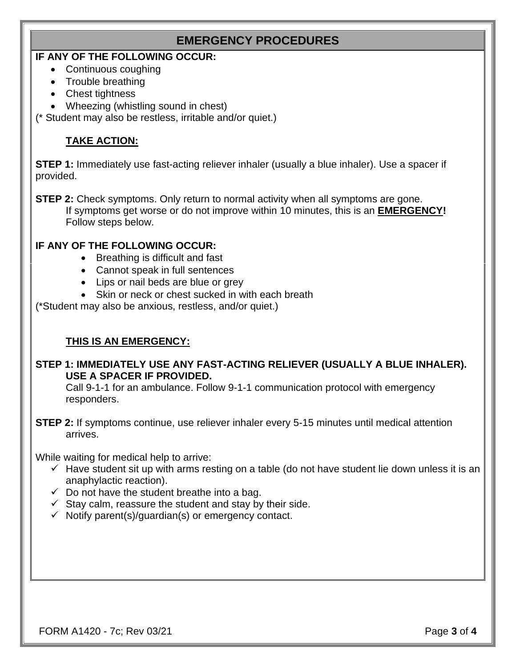# **EMERGENCY PROCEDURES**

## **IF ANY OF THE FOLLOWING OCCUR:**

- Continuous coughing
- Trouble breathing
- Chest tightness
- Wheezing (whistling sound in chest)

(\* Student may also be restless, irritable and/or quiet.)

# **TAKE ACTION:**

**STEP 1:** Immediately use fast-acting reliever inhaler (usually a blue inhaler). Use a spacer if provided.

**STEP 2:** Check symptoms. Only return to normal activity when all symptoms are gone. If symptoms get worse or do not improve within 10 minutes, this is an **EMERGENCY!**  Follow steps below.

#### **IF ANY OF THE FOLLOWING OCCUR:**

- Breathing is difficult and fast
- Cannot speak in full sentences
- Lips or nail beds are blue or grey
- Skin or neck or chest sucked in with each breath

(\*Student may also be anxious, restless, and/or quiet.)

### **THIS IS AN EMERGENCY:**

#### **STEP 1: IMMEDIATELY USE ANY FAST-ACTING RELIEVER (USUALLY A BLUE INHALER). USE A SPACER IF PROVIDED.**

Call 9-1-1 for an ambulance. Follow 9-1-1 communication protocol with emergency responders.

**STEP 2:** If symptoms continue, use reliever inhaler every 5-15 minutes until medical attention arrives.

While waiting for medical help to arrive:

- $\checkmark$  Have student sit up with arms resting on a table (do not have student lie down unless it is an anaphylactic reaction).
- $\checkmark$  Do not have the student breathe into a bag.
- $\checkmark$  Stay calm, reassure the student and stay by their side.
- $\checkmark$  Notify parent(s)/guardian(s) or emergency contact.